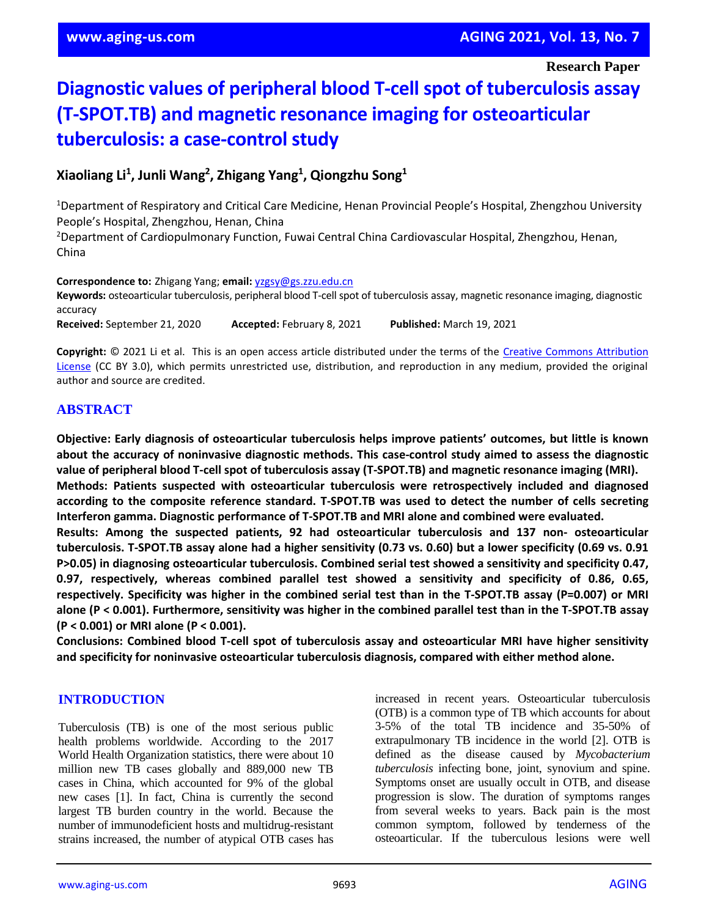**Research Paper**

# **Diagnostic values of peripheral blood T-cell spot of tuberculosis assay (T-SPOT.TB) and magnetic resonance imaging for osteoarticular tuberculosis: a case-control study**

**Xiaoliang Li<sup>1</sup> , Junli Wang<sup>2</sup> , Zhigang Yang<sup>1</sup> , Qiongzhu Song<sup>1</sup>**

<sup>1</sup>Department of Respiratory and Critical Care Medicine, Henan Provincial People's Hospital, Zhengzhou University People's Hospital, Zhengzhou, Henan, China

<sup>2</sup>Department of Cardiopulmonary Function, Fuwai Central China Cardiovascular Hospital, Zhengzhou, Henan, China

**Correspondence to:** Zhigang Yang; **email:** [yzgsy@gs.zzu.edu.cn](mailto:yzgsy@gs.zzu.edu.cn) **Keywords:** osteoarticular tuberculosis, peripheral blood T-cell spot of tuberculosis assay, magnetic resonance imaging, diagnostic accuracy **Received:** September 21, 2020 **Accepted:** February 8, 2021 **Published:** March 19, 2021

**Copyright:** © 2021 Li et al. This is an open access article distributed under the terms of the [Creative Commons Attribution](https://creativecommons.org/licenses/by/3.0/)  [License](https://creativecommons.org/licenses/by/3.0/) (CC BY 3.0), which permits unrestricted use, distribution, and reproduction in any medium, provided the original author and source are credited.

## **ABSTRACT**

**Objective: Early diagnosis of osteoarticular tuberculosis helps improve patients' outcomes, but little is known about the accuracy of noninvasive diagnostic methods. This case-control study aimed to assess the diagnostic value of peripheral blood T-cell spot of tuberculosis assay (T-SPOT.TB) and magnetic resonance imaging (MRI).**

**Methods: Patients suspected with osteoarticular tuberculosis were retrospectively included and diagnosed according to the composite reference standard. T-SPOT.TB was used to detect the number of cells secreting Interferon gamma. Diagnostic performance of T-SPOT.TB and MRI alone and combined were evaluated.**

**Results: Among the suspected patients, 92 had osteoarticular tuberculosis and 137 non- osteoarticular** tuberculosis. T-SPOT.TB assay alone had a higher sensitivity (0.73 vs. 0.60) but a lower specificity (0.69 vs. 0.91 **P>0.05) in diagnosing osteoarticular tuberculosis. Combined serial test showed a sensitivity and specificity 0.47, 0.97, respectively, whereas combined parallel test showed a sensitivity and specificity of 0.86, 0.65,** respectively. Specificity was higher in the combined serial test than in the T-SPOT.TB assay (P=0.007) or MRI alone (P < 0.001). Furthermore, sensitivity was higher in the combined parallel test than in the T-SPOT.TB assay **(P < 0.001) or MRI alone (P < 0.001).**

**Conclusions: Combined blood T-cell spot of tuberculosis assay and osteoarticular MRI have higher sensitivity and specificity for noninvasive osteoarticular tuberculosis diagnosis, compared with either method alone.**

## **INTRODUCTION**

Tuberculosis (TB) is one of the most serious public health problems worldwide. According to the 2017 World Health Organization statistics, there were about 10 million new TB cases globally and 889,000 new TB cases in China, which accounted for 9% of the global new cases [1]. In fact, China is currently the second largest TB burden country in the world. Because the number of immunodeficient hosts and multidrug-resistant strains increased, the number of atypical OTB cases has increased in recent years. Osteoarticular tuberculosis (OTB) is a common type of TB which accounts for about 3-5% of the total TB incidence and 35-50% of extrapulmonary TB incidence in the world [2]. OTB is defined as the disease caused by *Mycobacterium tuberculosis* infecting bone, joint, synovium and spine. Symptoms onset are usually occult in OTB, and disease progression is slow. The duration of symptoms ranges from several weeks to years. Back pain is the most common symptom, followed by tenderness of the osteoarticular. If the tuberculous lesions were well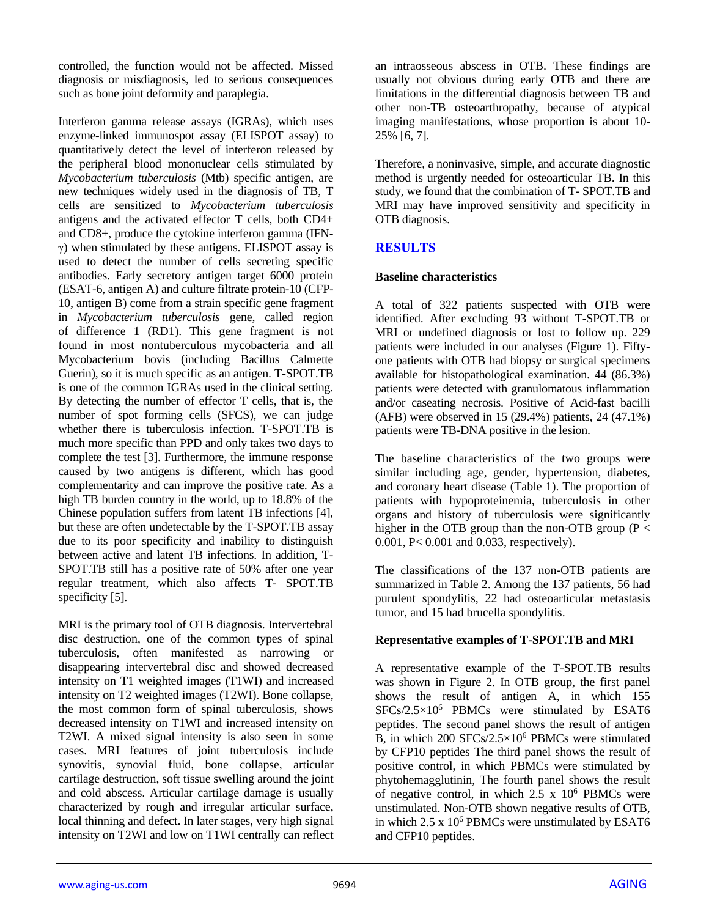controlled, the function would not be affected. Missed diagnosis or misdiagnosis, led to serious consequences such as bone joint deformity and paraplegia.

Interferon gamma release assays (IGRAs), which uses enzyme-linked immunospot assay (ELISPOT assay) to quantitatively detect the level of interferon released by the peripheral blood mononuclear cells stimulated by *Mycobacterium tuberculosis* (Mtb) specific antigen, are new techniques widely used in the diagnosis of TB, T cells are sensitized to *Mycobacterium tuberculosis* antigens and the activated effector T cells, both CD4+ and CD8+, produce the cytokine interferon gamma (IFNγ) when stimulated by these antigens. ELISPOT assay is used to detect the number of cells secreting specific antibodies. Early secretory antigen target 6000 protein (ESAT-6, antigen A) and culture filtrate protein-10 (CFP-10, antigen B) come from a strain specific gene fragment in *Mycobacterium tuberculosis* gene, called region of difference 1 (RD1). This gene fragment is not found in most nontuberculous mycobacteria and all Mycobacterium bovis (including Bacillus Calmette Guerin), so it is much specific as an antigen. T-SPOT.TB is one of the common IGRAs used in the clinical setting. By detecting the number of effector T cells, that is, the number of spot forming cells (SFCS), we can judge whether there is tuberculosis infection. T-SPOT.TB is much more specific than PPD and only takes two days to complete the test [3]. Furthermore, the immune response caused by two antigens is different, which has good complementarity and can improve the positive rate. As a high TB burden country in the world, up to 18.8% of the Chinese population suffers from latent TB infections [4], but these are often undetectable by the T-SPOT.TB assay due to its poor specificity and inability to distinguish between active and latent TB infections. In addition, T-SPOT.TB still has a positive rate of 50% after one year regular treatment, which also affects T- SPOT.TB specificity [5].

MRI is the primary tool of OTB diagnosis. Intervertebral disc destruction, one of the common types of spinal tuberculosis, often manifested as narrowing or disappearing intervertebral disc and showed decreased intensity on T1 weighted images (T1WI) and increased intensity on T2 weighted images (T2WI). Bone collapse, the most common form of spinal tuberculosis, shows decreased intensity on T1WI and increased intensity on T2WI. A mixed signal intensity is also seen in some cases. MRI features of joint tuberculosis include synovitis, synovial fluid, bone collapse, articular cartilage destruction, soft tissue swelling around the joint and cold abscess. Articular cartilage damage is usually characterized by rough and irregular articular surface, local thinning and defect. In later stages, very high signal intensity on T2WI and low on T1WI centrally can reflect

an intraosseous abscess in OTB. These findings are usually not obvious during early OTB and there are limitations in the differential diagnosis between TB and other non-TB osteoarthropathy, because of atypical imaging manifestations, whose proportion is about 10- 25% [6, 7].

Therefore, a noninvasive, simple, and accurate diagnostic method is urgently needed for osteoarticular TB. In this study, we found that the combination of T- SPOT.TB and MRI may have improved sensitivity and specificity in OTB diagnosis.

# **RESULTS**

## **Baseline characteristics**

A total of 322 patients suspected with OTB were identified. After excluding 93 without T-SPOT.TB or MRI or undefined diagnosis or lost to follow up. 229 patients were included in our analyses (Figure 1). Fiftyone patients with OTB had biopsy or surgical specimens available for histopathological examination. 44 (86.3%) patients were detected with granulomatous inflammation and/or caseating necrosis. Positive of Acid-fast bacilli (AFB) were observed in 15 (29.4%) patients, 24 (47.1%) patients were TB-DNA positive in the lesion.

The baseline characteristics of the two groups were similar including age, gender, hypertension, diabetes, and coronary heart disease (Table 1). The proportion of patients with hypoproteinemia, tuberculosis in other organs and history of tuberculosis were significantly higher in the OTB group than the non-OTB group ( $P <$ 0.001, P< 0.001 and 0.033, respectively).

The classifications of the 137 non-OTB patients are summarized in Table 2. Among the 137 patients, 56 had purulent spondylitis, 22 had osteoarticular metastasis tumor, and 15 had brucella spondylitis.

## **Representative examples of T-SPOT.TB and MRI**

A representative example of the T-SPOT.TB results was shown in Figure 2. In OTB group, the first panel shows the result of antigen A, in which 155 SFCs/2.5×10<sup>6</sup> PBMCs were stimulated by ESAT6 peptides. The second panel shows the result of antigen B, in which 200 SFCs/2.5×10<sup>6</sup> PBMCs were stimulated by CFP10 peptides The third panel shows the result of positive control, in which PBMCs were stimulated by phytohemagglutinin, The fourth panel shows the result of negative control, in which  $2.5 \times 10^6$  PBMCs were unstimulated. Non-OTB shown negative results of OTB, in which  $2.5 \times 10^6$  PBMCs were unstimulated by ESAT6 and CFP10 peptides.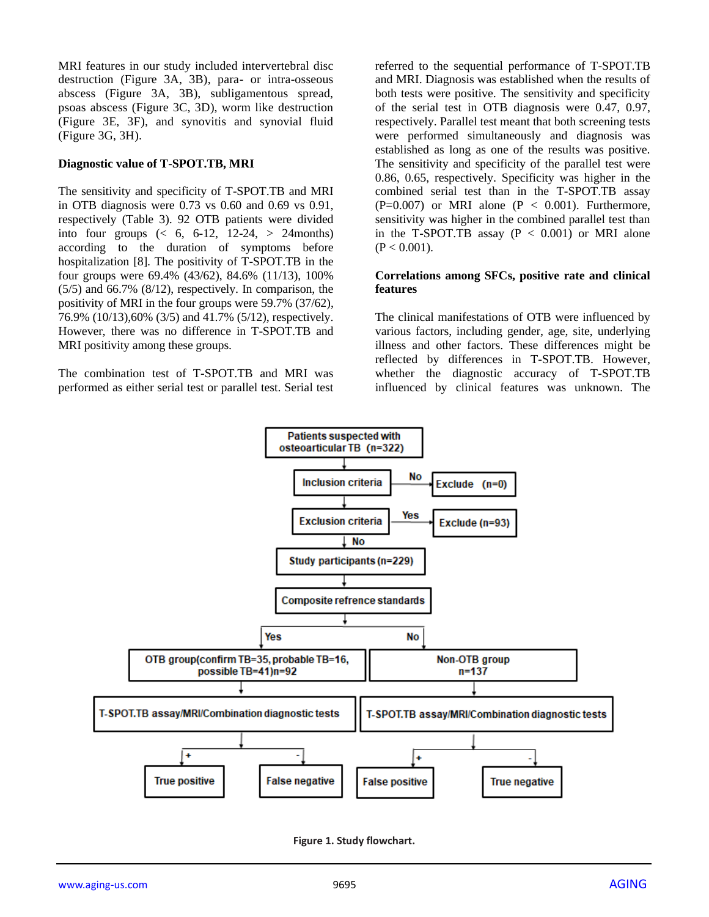MRI features in our study included intervertebral disc destruction (Figure 3A, 3B), para- or intra-osseous abscess (Figure 3A, 3B), subligamentous spread, psoas abscess (Figure 3C, 3D), worm like destruction (Figure 3E, 3F), and synovitis and synovial fluid (Figure 3G, 3H).

#### **Diagnostic value of T-SPOT.TB, MRI**

The sensitivity and specificity of T-SPOT.TB and MRI in OTB diagnosis were 0.73 vs 0.60 and 0.69 vs 0.91, respectively (Table 3). 92 OTB patients were divided into four groups  $\left( \leq 6, 6-12, 12-24, > 24$  months) according to the duration of symptoms before hospitalization [8]. The positivity of T-SPOT.TB in the four groups were 69.4% (43/62), 84.6% (11/13), 100% (5/5) and 66.7% (8/12), respectively. In comparison, the positivity of MRI in the four groups were 59.7% (37/62), 76.9% (10/13),60% (3/5) and 41.7% (5/12), respectively. However, there was no difference in T-SPOT.TB and MRI positivity among these groups.

The combination test of T-SPOT.TB and MRI was performed as either serial test or parallel test. Serial test referred to the sequential performance of T-SPOT.TB and MRI. Diagnosis was established when the results of both tests were positive. The sensitivity and specificity of the serial test in OTB diagnosis were 0.47, 0.97, respectively. Parallel test meant that both screening tests were performed simultaneously and diagnosis was established as long as one of the results was positive. The sensitivity and specificity of the parallel test were 0.86, 0.65, respectively. Specificity was higher in the combined serial test than in the T-SPOT.TB assay  $(P=0.007)$  or MRI alone  $(P < 0.001)$ . Furthermore, sensitivity was higher in the combined parallel test than in the T-SPOT.TB assay  $(P < 0.001)$  or MRI alone  $(P < 0.001)$ .

#### **Correlations among SFCs, positive rate and clinical features**

The clinical manifestations of OTB were influenced by various factors, including gender, age, site, underlying illness and other factors. These differences might be reflected by differences in T-SPOT.TB. However, whether the diagnostic accuracy of T-SPOT.TB influenced by clinical features was unknown. The



**Figure 1. Study flowchart.**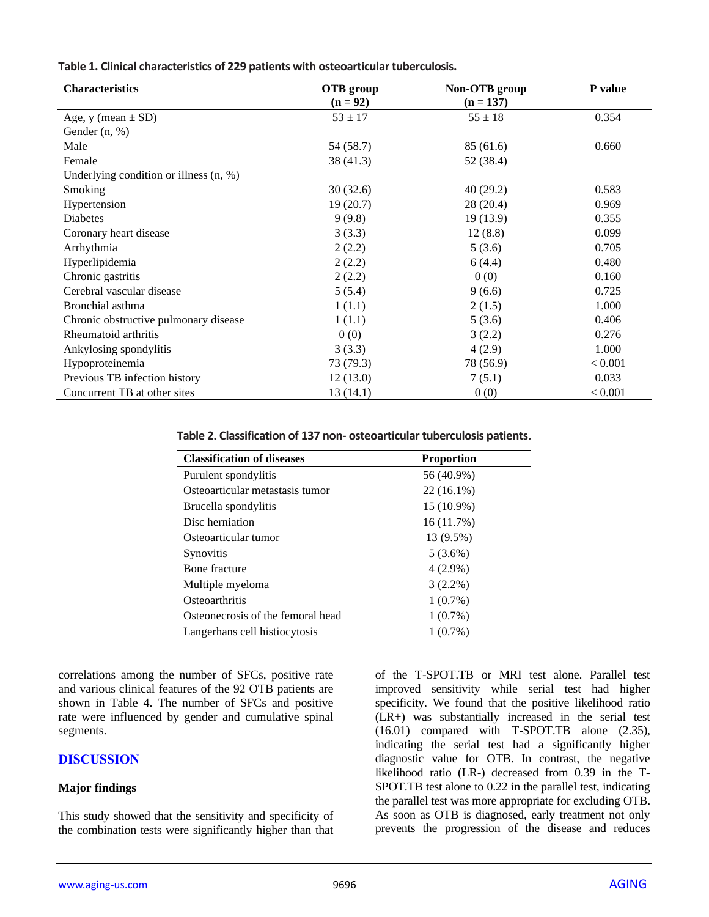| <b>Characteristics</b>                   | OTB group<br>$(n = 92)$ | Non-OTB group<br>$(n = 137)$ | P value |  |
|------------------------------------------|-------------------------|------------------------------|---------|--|
| Age, y (mean $\pm$ SD)                   | $53 \pm 17$             | $55 \pm 18$                  | 0.354   |  |
| Gender $(n, %)$                          |                         |                              |         |  |
|                                          |                         |                              |         |  |
| Male                                     | 54 (58.7)               | 85 (61.6)                    | 0.660   |  |
| Female                                   | 38(41.3)                | 52 (38.4)                    |         |  |
| Underlying condition or illness $(n, %)$ |                         |                              |         |  |
| Smoking                                  | 30(32.6)                | 40(29.2)                     | 0.583   |  |
| Hypertension                             | 19(20.7)                | 28(20.4)                     | 0.969   |  |
| <b>Diabetes</b>                          | 9(9.8)                  | 19(13.9)                     | 0.355   |  |
| Coronary heart disease                   | 3(3.3)                  | 12(8.8)                      | 0.099   |  |
| Arrhythmia                               | 2(2.2)                  | 5(3.6)                       | 0.705   |  |
| Hyperlipidemia                           | 2(2.2)                  | 6(4.4)                       | 0.480   |  |
| Chronic gastritis                        | 2(2.2)                  | 0(0)                         | 0.160   |  |
| Cerebral vascular disease                | 5(5.4)                  | 9(6.6)                       | 0.725   |  |
| Bronchial asthma                         | 1(1.1)                  | 2(1.5)                       | 1.000   |  |
| Chronic obstructive pulmonary disease    | 1(1.1)                  | 5(3.6)                       | 0.406   |  |
| Rheumatoid arthritis                     | 0(0)                    | 3(2.2)                       | 0.276   |  |
| Ankylosing spondylitis                   | 3(3.3)                  | 4(2.9)                       | 1.000   |  |
| Hypoproteinemia                          | 73 (79.3)               | 78 (56.9)                    | < 0.001 |  |
| Previous TB infection history            | 12(13.0)                | 7(5.1)                       | 0.033   |  |
| Concurrent TB at other sites             | 13(14.1)                | 0(0)                         | < 0.001 |  |

**Table 2. Classification of 137 non- osteoarticular tuberculosis patients.**

| <b>Classification of diseases</b> | <b>Proportion</b> |
|-----------------------------------|-------------------|
| Purulent spondylitis              | 56 (40.9%)        |
| Osteoarticular metastasis tumor   | $22(16.1\%)$      |
| Brucella spondylitis              | 15 (10.9%)        |
| Disc herniation                   | 16(11.7%)         |
| Osteoarticular tumor              | 13 (9.5%)         |
| <b>Synovitis</b>                  | $5(3.6\%)$        |
| Bone fracture                     | $4(2.9\%)$        |
| Multiple myeloma                  | $3(2.2\%)$        |
| Osteoarthritis                    | $1(0.7\%)$        |
| Osteonecrosis of the femoral head | $1(0.7\%)$        |
| Langerhans cell histiocytosis     | $1(0.7\%)$        |

correlations among the number of SFCs, positive rate and various clinical features of the 92 OTB patients are shown in Table 4. The number of SFCs and positive rate were influenced by gender and cumulative spinal segments.

## **DISCUSSION**

## **Major findings**

This study showed that the sensitivity and specificity of the combination tests were significantly higher than that

of the T-SPOT.TB or MRI test alone. Parallel test improved sensitivity while serial test had higher specificity. We found that the positive likelihood ratio (LR+) was substantially increased in the serial test (16.01) compared with T-SPOT.TB alone (2.35), indicating the serial test had a significantly higher diagnostic value for OTB. In contrast, the negative likelihood ratio (LR-) decreased from 0.39 in the T-SPOT.TB test alone to 0.22 in the parallel test, indicating the parallel test was more appropriate for excluding OTB. As soon as OTB is diagnosed, early treatment not only prevents the progression of the disease and reduces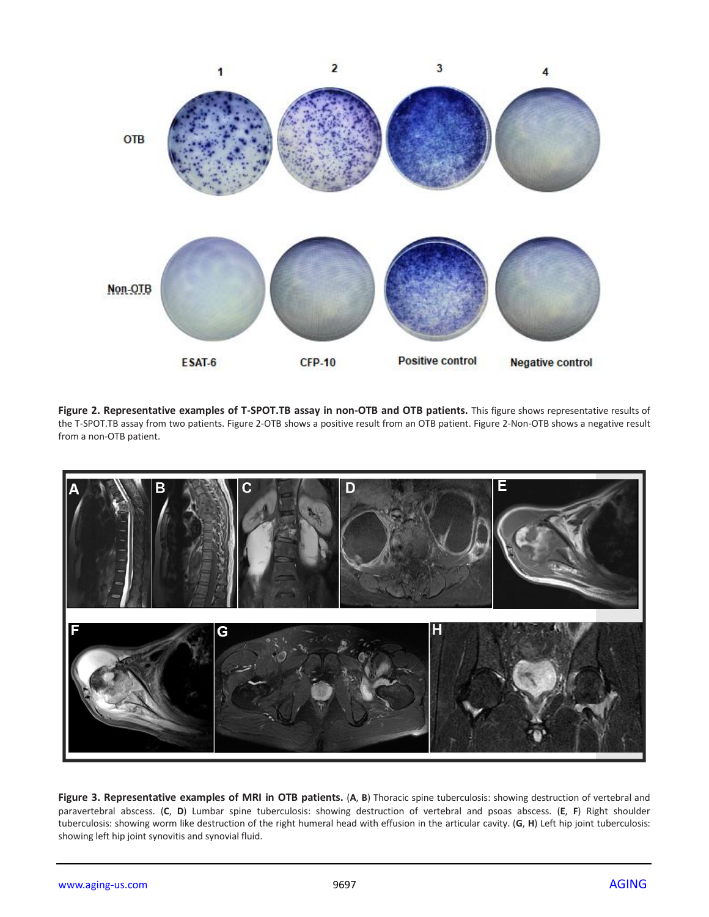

**Figure 2. Representative examples of T-SPOT.TB assay in non-OTB and OTB patients.** This figure shows representative results of the T-SPOT.TB assay from two patients. Figure 2-OTB shows a positive result from an OTB patient. Figure 2-Non-OTB shows a negative result from a non-OTB patient.



**Figure 3. Representative examples of MRI in OTB patients.** (**A**, **B**) Thoracic spine tuberculosis: showing destruction of vertebral and paravertebral abscess. (**C**, **D**) Lumbar spine tuberculosis: showing destruction of vertebral and psoas abscess. (**E**, **F**) Right shoulder tuberculosis: showing worm like destruction of the right humeral head with effusion in the articular cavity. (**G**, **H**) Left hip joint tuberculosis: showing left hip joint synovitis and synovial fluid.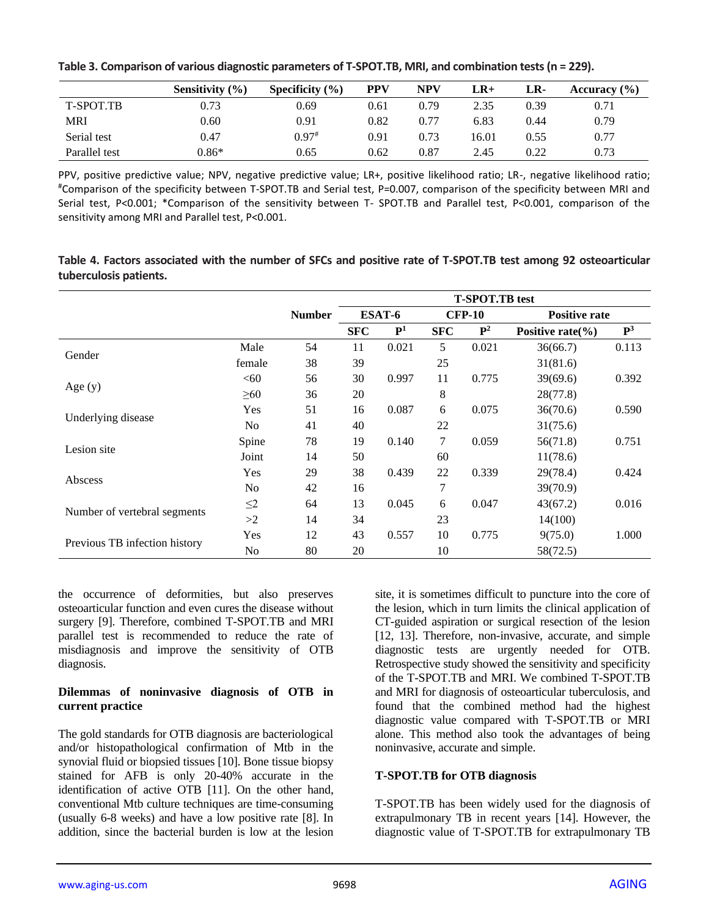|                  | Sensitivity $(\% )$ | Specificity $(\% )$ | PPV  | NPV  | LR+   | LR-  | Accuracy $(\% )$ |
|------------------|---------------------|---------------------|------|------|-------|------|------------------|
| <b>T-SPOT.TB</b> | 0.73                | 0.69                | 0.61 | 0.79 | 2.35  | 0.39 | 0.71             |
| MRI              | 0.60                | 0.91                | 0.82 | 0.77 | 6.83  | 0.44 | 0.79             |
| Serial test      | 0.47                | $0.97$ <sup>#</sup> | 0.91 | 0.73 | 16.01 | 0.55 | 0.77             |
| Parallel test    | $0.86*$             | 0.65                | 0.62 | 0.87 | 2.45  | 0.22 | 0.73             |

**Table 3. Comparison of various diagnostic parameters of T-SPOT.TB, MRI, and combination tests (n = 229).**

PPV, positive predictive value; NPV, negative predictive value; LR+, positive likelihood ratio; LR-, negative likelihood ratio; #Comparison of the specificity between T-SPOT.TB and Serial test, P=0.007, comparison of the specificity between MRI and Serial test, P<0.001; \*Comparison of the sensitivity between T- SPOT.TB and Parallel test, P<0.001, comparison of the sensitivity among MRI and Parallel test, P<0.001.

**Table 4. Factors associated with the number of SFCs and positive rate of T-SPOT.TB test among 92 osteoarticular tuberculosis patients.**

|                               |                |                         | <b>T-SPOT.TB</b> test |             |               |                |                       |                |
|-------------------------------|----------------|-------------------------|-----------------------|-------------|---------------|----------------|-----------------------|----------------|
|                               |                | <b>Number</b><br>ESAT-6 |                       |             | <b>CFP-10</b> |                | <b>Positive rate</b>  |                |
|                               |                |                         | <b>SFC</b>            | ${\bf P}^1$ | <b>SFC</b>    | $\mathbf{P}^2$ | Positive rate $(\% )$ | $\mathbf{P}^3$ |
| Gender                        | Male           | 54                      | 11                    | 0.021       | 5             | 0.021          | 36(66.7)              | 0.113          |
|                               | female         | 38                      | 39                    |             | 25            |                | 31(81.6)              |                |
| Age $(y)$                     | < 60           | 56                      | 30                    | 0.997       | 11            | 0.775          | 39(69.6)              | 0.392          |
|                               | $\geq 60$      | 36                      | 20                    |             | 8             |                | 28(77.8)              |                |
| Underlying disease            | Yes            | 51                      | 16                    | 0.087       | 6             | 0.075          | 36(70.6)              | 0.590          |
|                               | N <sub>0</sub> | 41                      | 40                    |             | 22            |                | 31(75.6)              |                |
| Lesion site                   | Spine          | 78                      | 19                    | 0.140       | $\tau$        | 0.059          | 56(71.8)              | 0.751          |
|                               | Joint          | 14                      | 50                    |             | 60            |                | 11(78.6)              |                |
| Abscess                       | Yes            | 29                      | 38                    | 0.439       | 22            | 0.339          | 29(78.4)              | 0.424          |
|                               | No             | 42                      | 16                    |             | 7             |                | 39(70.9)              |                |
| Number of vertebral segments  | $\leq$ 2       | 64                      | 13                    | 0.045       | 6             | 0.047          | 43(67.2)              | 0.016          |
|                               | >2             | 14                      | 34                    |             | 23            |                | 14(100)               |                |
| Previous TB infection history | Yes            | 12                      | 43                    | 0.557       | 10            | 0.775          | 9(75.0)               | 1.000          |
|                               | No             | 80                      | 20                    |             | 10            |                | 58(72.5)              |                |

the occurrence of deformities, but also preserves osteoarticular function and even cures the disease without surgery [9]. Therefore, combined T-SPOT.TB and MRI parallel test is recommended to reduce the rate of misdiagnosis and improve the sensitivity of OTB diagnosis.

## **Dilemmas of noninvasive diagnosis of OTB in current practice**

The gold standards for OTB diagnosis are bacteriological and/or histopathological confirmation of Mtb in the synovial fluid or biopsied tissues [10]. Bone tissue biopsy stained for AFB is only 20-40% accurate in the identification of active OTB [11]. On the other hand, conventional Mtb culture techniques are time-consuming (usually 6-8 weeks) and have a low positive rate [8]. In addition, since the bacterial burden is low at the lesion

site, it is sometimes difficult to puncture into the core of the lesion, which in turn limits the clinical application of CT-guided aspiration or surgical resection of the lesion [12, 13]. Therefore, non-invasive, accurate, and simple diagnostic tests are urgently needed for OTB. Retrospective study showed the sensitivity and specificity of the T-SPOT.TB and MRI. We combined T-SPOT.TB and MRI for diagnosis of osteoarticular tuberculosis, and found that the combined method had the highest diagnostic value compared with T-SPOT.TB or MRI alone. This method also took the advantages of being noninvasive, accurate and simple.

## **T-SPOT.TB for OTB diagnosis**

T-SPOT.TB has been widely used for the diagnosis of extrapulmonary TB in recent years [14]. However, the diagnostic value of T-SPOT.TB for extrapulmonary TB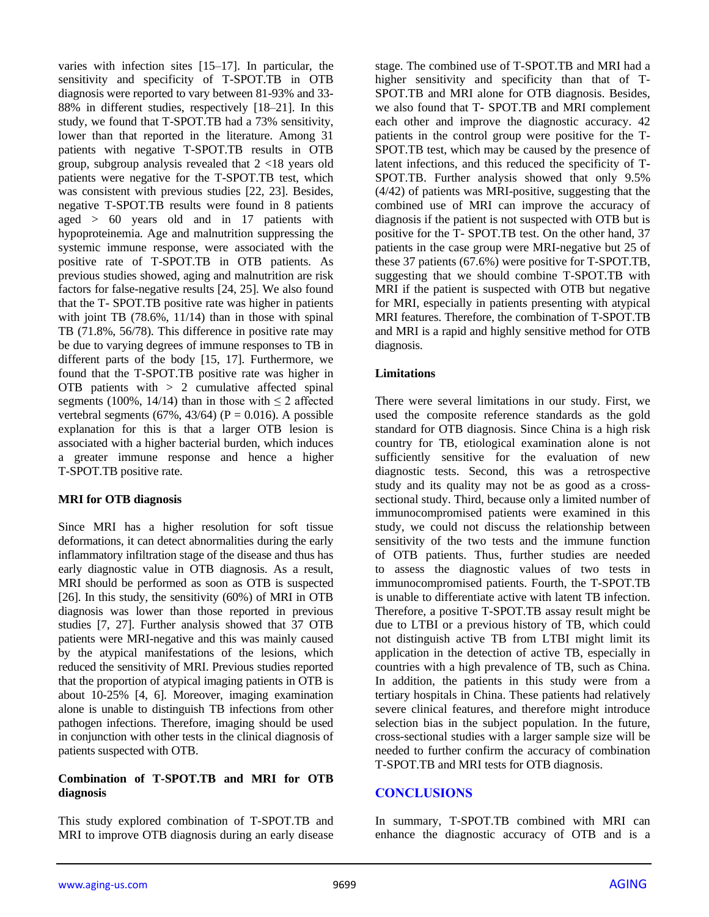varies with infection sites [15–17]. In particular, the sensitivity and specificity of T-SPOT.TB in OTB diagnosis were reported to vary between 81-93% and 33- 88% in different studies, respectively [18–21]. In this study, we found that T-SPOT.TB had a 73% sensitivity, lower than that reported in the literature. Among 31 patients with negative T-SPOT.TB results in OTB group, subgroup analysis revealed that 2 <18 years old patients were negative for the T-SPOT.TB test, which was consistent with previous studies [22, 23]. Besides, negative T-SPOT.TB results were found in 8 patients aged > 60 years old and in 17 patients with hypoproteinemia. Age and malnutrition suppressing the systemic immune response, were associated with the positive rate of T-SPOT.TB in OTB patients. As previous studies showed, aging and malnutrition are risk factors for false-negative results [24, 25]. We also found that the T- SPOT.TB positive rate was higher in patients with joint TB (78.6%, 11/14) than in those with spinal TB (71.8%, 56/78). This difference in positive rate may be due to varying degrees of immune responses to TB in different parts of the body [15, 17]. Furthermore, we found that the T-SPOT.TB positive rate was higher in OTB patients with  $> 2$  cumulative affected spinal segments (100%, 14/14) than in those with  $\leq 2$  affected vertebral segments (67%, 43/64) ( $P = 0.016$ ). A possible explanation for this is that a larger OTB lesion is associated with a higher bacterial burden, which induces a greater immune response and hence a higher T-SPOT.TB positive rate.

## **MRI for OTB diagnosis**

Since MRI has a higher resolution for soft tissue deformations, it can detect abnormalities during the early inflammatory infiltration stage of the disease and thus has early diagnostic value in OTB diagnosis. As a result, MRI should be performed as soon as OTB is suspected [26]. In this study, the sensitivity (60%) of MRI in OTB diagnosis was lower than those reported in previous studies [7, 27]. Further analysis showed that 37 OTB patients were MRI-negative and this was mainly caused by the atypical manifestations of the lesions, which reduced the sensitivity of MRI. Previous studies reported that the proportion of atypical imaging patients in OTB is about 10-25% [4, 6]. Moreover, imaging examination alone is unable to distinguish TB infections from other pathogen infections. Therefore, imaging should be used in conjunction with other tests in the clinical diagnosis of patients suspected with OTB.

## **Combination of T-SPOT.TB and MRI for OTB diagnosis**

This study explored combination of T-SPOT.TB and MRI to improve OTB diagnosis during an early disease stage. The combined use of T-SPOT.TB and MRI had a higher sensitivity and specificity than that of T-SPOT.TB and MRI alone for OTB diagnosis. Besides, we also found that T- SPOT.TB and MRI complement each other and improve the diagnostic accuracy. 42 patients in the control group were positive for the T-SPOT.TB test, which may be caused by the presence of latent infections, and this reduced the specificity of T-SPOT.TB. Further analysis showed that only 9.5% (4/42) of patients was MRI-positive, suggesting that the combined use of MRI can improve the accuracy of diagnosis if the patient is not suspected with OTB but is positive for the T- SPOT.TB test. On the other hand, 37 patients in the case group were MRI-negative but 25 of these 37 patients (67.6%) were positive for T-SPOT.TB, suggesting that we should combine T-SPOT.TB with MRI if the patient is suspected with OTB but negative for MRI, especially in patients presenting with atypical MRI features. Therefore, the combination of T-SPOT.TB and MRI is a rapid and highly sensitive method for OTB diagnosis.

## **Limitations**

There were several limitations in our study. First, we used the composite reference standards as the gold standard for OTB diagnosis. Since China is a high risk country for TB, etiological examination alone is not sufficiently sensitive for the evaluation of new diagnostic tests. Second, this was a retrospective study and its quality may not be as good as a crosssectional study. Third, because only a limited number of immunocompromised patients were examined in this study, we could not discuss the relationship between sensitivity of the two tests and the immune function of OTB patients. Thus, further studies are needed to assess the diagnostic values of two tests in immunocompromised patients. Fourth, the T-SPOT.TB is unable to differentiate active with latent TB infection. Therefore, a positive T-SPOT.TB assay result might be due to LTBI or a previous history of TB, which could not distinguish active TB from LTBI might limit its application in the detection of active TB, especially in countries with a high prevalence of TB, such as China. In addition, the patients in this study were from a tertiary hospitals in China. These patients had relatively severe clinical features, and therefore might introduce selection bias in the subject population. In the future, cross-sectional studies with a larger sample size will be needed to further confirm the accuracy of combination T-SPOT.TB and MRI tests for OTB diagnosis.

## **CONCLUSIONS**

In summary, T-SPOT.TB combined with MRI can enhance the diagnostic accuracy of OTB and is a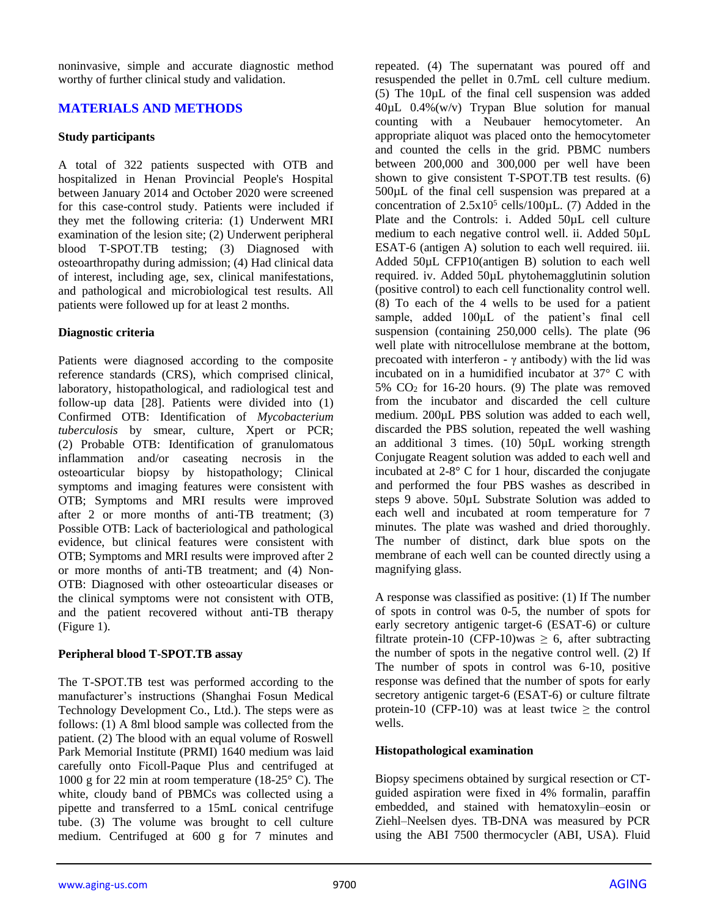noninvasive, simple and accurate diagnostic method worthy of further clinical study and validation.

## **MATERIALS AND METHODS**

## **Study participants**

A total of 322 patients suspected with OTB and hospitalized in Henan Provincial People's Hospital between January 2014 and October 2020 were screened for this case-control study. Patients were included if they met the following criteria: (1) Underwent MRI examination of the lesion site; (2) Underwent peripheral blood T-SPOT.TB testing; (3) Diagnosed with osteoarthropathy during admission; (4) Had clinical data of interest, including age, sex, clinical manifestations, and pathological and microbiological test results. All patients were followed up for at least 2 months.

## **Diagnostic criteria**

Patients were diagnosed according to the composite reference standards (CRS), which comprised clinical, laboratory, histopathological, and radiological test and follow-up data [28]. Patients were divided into (1) Confirmed OTB: Identification of *Mycobacterium tuberculosis* by smear, culture, Xpert or PCR; (2) Probable OTB: Identification of granulomatous inflammation and/or caseating necrosis in the osteoarticular biopsy by histopathology; Clinical symptoms and imaging features were consistent with OTB; Symptoms and MRI results were improved after 2 or more months of anti-TB treatment; (3) Possible OTB: Lack of bacteriological and pathological evidence, but clinical features were consistent with OTB; Symptoms and MRI results were improved after 2 or more months of anti-TB treatment; and (4) Non-OTB: Diagnosed with other osteoarticular diseases or the clinical symptoms were not consistent with OTB, and the patient recovered without anti-TB therapy (Figure 1).

## **Peripheral blood T-SPOT.TB assay**

The T-SPOT.TB test was performed according to the manufacturer's instructions (Shanghai Fosun Medical Technology Development Co., Ltd.). The steps were as follows: (1) A 8ml blood sample was collected from the patient. (2) The blood with an equal volume of Roswell Park Memorial Institute (PRMI) 1640 medium was laid carefully onto Ficoll-Paque Plus and centrifuged at 1000 g for 22 min at room temperature (18-25° C). The white, cloudy band of PBMCs was collected using a pipette and transferred to a 15mL conical centrifuge tube. (3) The volume was brought to cell culture medium. Centrifuged at 600 g for 7 minutes and

repeated. (4) The supernatant was poured off and resuspended the pellet in 0.7mL cell culture medium. (5) The 10µL of the final cell suspension was added 40µL 0.4%(w/v) Trypan Blue solution for manual counting with a Neubauer hemocytometer. An appropriate aliquot was placed onto the hemocytometer and counted the cells in the grid. PBMC numbers between 200,000 and 300,000 per well have been shown to give consistent T-SPOT.TB test results. (6) 500µL of the final cell suspension was prepared at a concentration of  $2.5x10^5$  cells/100 $\mu$ L. (7) Added in the Plate and the Controls: i. Added 50µL cell culture medium to each negative control well. ii. Added 50µL ESAT-6 (antigen A) solution to each well required. iii. Added 50µL CFP10(antigen B) solution to each well required. iv. Added 50µL phytohemagglutinin solution (positive control) to each cell functionality control well. (8) To each of the 4 wells to be used for a patient sample, added  $100\mu L$  of the patient's final cell suspension (containing 250,000 cells). The plate (96 well plate with nitrocellulose membrane at the bottom, precoated with interferon -  $\gamma$  antibody) with the lid was incubated on in a humidified incubator at 37° C with  $5\%$  CO<sub>2</sub> for 16-20 hours. (9) The plate was removed from the incubator and discarded the cell culture medium. 200µL PBS solution was added to each well. discarded the PBS solution, repeated the well washing an additional 3 times. (10) 50µL working strength Conjugate Reagent solution was added to each well and incubated at 2-8° C for 1 hour, discarded the conjugate and performed the four PBS washes as described in steps 9 above. 50µL Substrate Solution was added to each well and incubated at room temperature for 7 minutes. The plate was washed and dried thoroughly. The number of distinct, dark blue spots on the membrane of each well can be counted directly using a magnifying glass.

A response was classified as positive: (1) If The number of spots in control was 0-5, the number of spots for early secretory antigenic target-6 (ESAT-6) or culture filtrate protein-10 (CFP-10)was  $\geq$  6, after subtracting the number of spots in the negative control well. (2) If The number of spots in control was 6-10, positive response was defined that the number of spots for early secretory antigenic target-6 (ESAT-6) or culture filtrate protein-10 (CFP-10) was at least twice  $\geq$  the control wells.

## **Histopathological examination**

Biopsy specimens obtained by surgical resection or CTguided aspiration were fixed in 4% formalin, paraffin embedded, and stained with hematoxylin–eosin or Ziehl–Neelsen dyes. TB-DNA was measured by PCR using the ABI 7500 thermocycler (ABI, USA). Fluid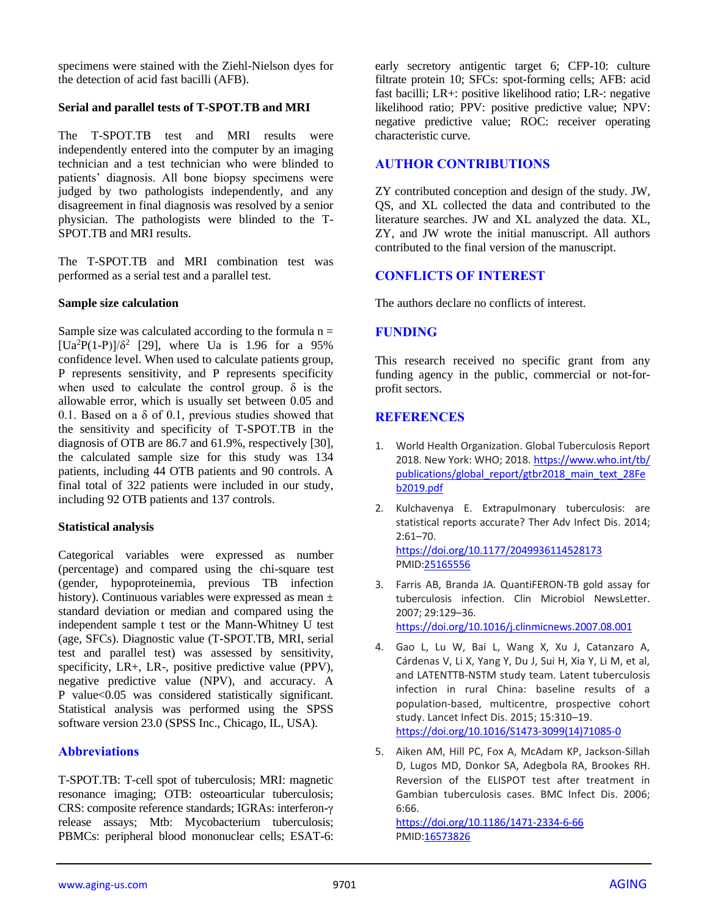specimens were stained with the Ziehl-Nielson dyes for the detection of acid fast bacilli (AFB).

## **Serial and parallel tests of T-SPOT.TB and MRI**

The T-SPOT.TB test and MRI results were independently entered into the computer by an imaging technician and a test technician who were blinded to patients' diagnosis. All bone biopsy specimens were judged by two pathologists independently, and any disagreement in final diagnosis was resolved by a senior physician. The pathologists were blinded to the T-SPOT. TB and MRI results.

The T-SPOT.TB and MRI combination test was performed as a serial test and a parallel test.

#### **Sample size calculation**

Sample size was calculated according to the formula  $n =$  $[Ua^2P(1-P)]/\delta^2$  [29], where Ua is 1.96 for a 95% confidence level. When used to calculate patients group, P represents sensitivity, and P represents specificity when used to calculate the control group.  $\delta$  is the allowable error, which is usually set between 0.05 and 0.1. Based on a  $\delta$  of 0.1, previous studies showed that the sensitivity and specificity of T-SPOT.TB in the diagnosis of OTB are 86.7 and 61.9%, respectively [30], the calculated sample size for this study was 134 patients, including 44 OTB patients and 90 controls. A final total of 322 patients were included in our study, including 92 OTB patients and 137 controls.

#### **Statistical analysis**

Categorical variables were expressed as number (percentage) and compared using the chi-square test (gender, hypoproteinemia, previous TB infection history). Continuous variables were expressed as mean  $\pm$ standard deviation or median and compared using the independent sample t test or the Mann-Whitney U test (age, SFCs). Diagnostic value (T-SPOT.TB, MRI, serial test and parallel test) was assessed by sensitivity, specificity, LR+, LR-, positive predictive value (PPV), negative predictive value (NPV), and accuracy. A P value<0.05 was considered statistically significant. Statistical analysis was performed using the SPSS software version 23.0 (SPSS Inc., Chicago, IL, USA).

## **Abbreviations**

T-SPOT.TB: T-cell spot of tuberculosis; MRI: magnetic resonance imaging; OTB: osteoarticular tuberculosis; CRS: composite reference standards; IGRAs: interferon-γ release assays; Mtb: Mycobacterium tuberculosis; PBMCs: peripheral blood mononuclear cells; ESAT-6:

early secretory antigentic target 6; CFP-10: culture filtrate protein 10; SFCs: spot-forming cells; AFB: acid fast bacilli; LR+: positive likelihood ratio; LR-: negative likelihood ratio; PPV: positive predictive value; NPV: negative predictive value; ROC: receiver operating characteristic curve.

## **AUTHOR CONTRIBUTIONS**

ZY contributed conception and design of the study. JW, QS, and XL collected the data and contributed to the literature searches. JW and XL analyzed the data. XL, ZY, and JW wrote the initial manuscript. All authors contributed to the final version of the manuscript.

## **CONFLICTS OF INTEREST**

The authors declare no conflicts of interest.

## **FUNDING**

This research received no specific grant from any funding agency in the public, commercial or not-forprofit sectors.

## **REFERENCES**

- 1. World Health Organization. Global Tuberculosis Report 2018. New York: WHO; 2018. [https://www.who.int/tb/](https://www.who.int/tb/publications/global_report/gtbr2018_main_text_28Feb2019.pdf) [publications/global\\_report/gtbr2018\\_main\\_text\\_28Fe](https://www.who.int/tb/publications/global_report/gtbr2018_main_text_28Feb2019.pdf) [b2019.pdf](https://www.who.int/tb/publications/global_report/gtbr2018_main_text_28Feb2019.pdf)
- 2. Kulchavenya E. Extrapulmonary tuberculosis: are statistical reports accurate? Ther Adv Infect Dis. 2014; 2:61–70. <https://doi.org/10.1177/2049936114528173> PMI[D:25165556](https://pubmed.ncbi.nlm.nih.gov/25165556)
- 3. Farris AB, Branda JA. QuantiFERON-TB gold assay for tuberculosis infection. Clin Microbiol NewsLetter. 2007; 29:129–36. <https://doi.org/10.1016/j.clinmicnews.2007.08.001>
- 4. Gao L, Lu W, Bai L, Wang X, Xu J, Catanzaro A, Cárdenas V, Li X, Yang Y, Du J, Sui H, Xia Y, Li M, et al, and LATENTTB-NSTM study team. Latent tuberculosis infection in rural China: baseline results of a population-based, multicentre, prospective cohort study. Lancet Infect Dis. 2015; 15:310–19. [https://doi.org/10.1016/S1473-3099\(14\)71085-0](https://doi.org/10.1016/S1473-3099(14)71085-0)
- 5. Aiken AM, Hill PC, Fox A, McAdam KP, Jackson-Sillah D, Lugos MD, Donkor SA, Adegbola RA, Brookes RH. Reversion of the ELISPOT test after treatment in Gambian tuberculosis cases. BMC Infect Dis. 2006; 6:66.

<https://doi.org/10.1186/1471-2334-6-66> PMI[D:16573826](https://pubmed.ncbi.nlm.nih.gov/16573826)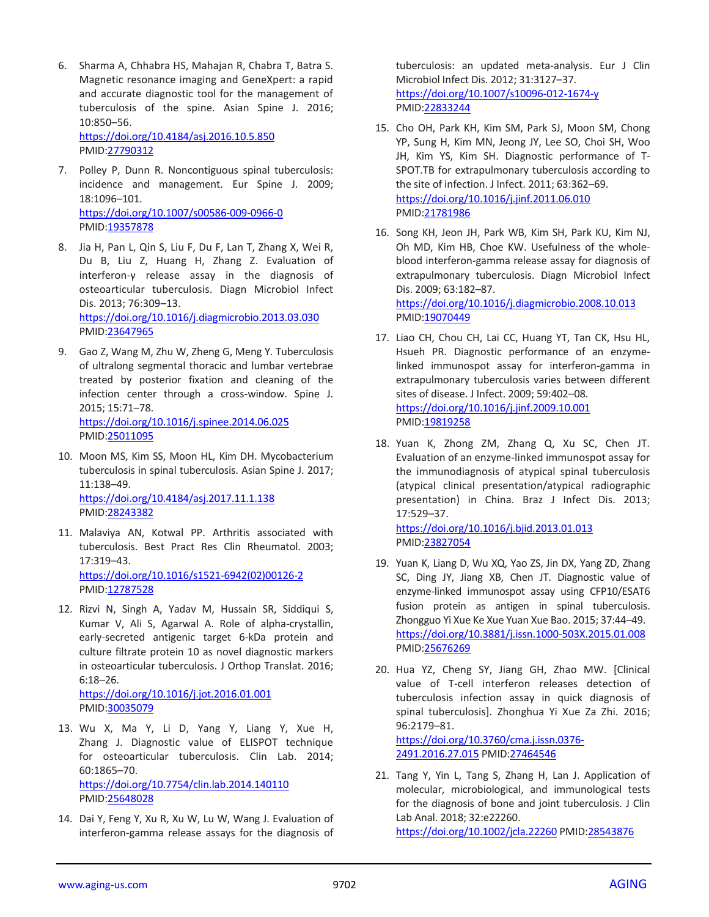6. Sharma A, Chhabra HS, Mahajan R, Chabra T, Batra S. Magnetic resonance imaging and GeneXpert: a rapid and accurate diagnostic tool for the management of tuberculosis of the spine. Asian Spine J. 2016; 10:850–56. <https://doi.org/10.4184/asj.2016.10.5.850>

PMID[:27790312](https://pubmed.ncbi.nlm.nih.gov/27790312)

- 7. Polley P, Dunn R. Noncontiguous spinal tuberculosis: incidence and management. Eur Spine J. 2009; 18:1096–101. <https://doi.org/10.1007/s00586-009-0966-0> PMID[:19357878](https://pubmed.ncbi.nlm.nih.gov/19357878)
- 8. Jia H, Pan L, Qin S, Liu F, Du F, Lan T, Zhang X, Wei R, Du B, Liu Z, Huang H, Zhang Z. Evaluation of interferon-γ release assay in the diagnosis of osteoarticular tuberculosis. Diagn Microbiol Infect Dis. 2013; 76:309–13. <https://doi.org/10.1016/j.diagmicrobio.2013.03.030> PMID[:23647965](https://pubmed.ncbi.nlm.nih.gov/23647965)
- 9. Gao Z, Wang M, Zhu W, Zheng G, Meng Y. Tuberculosis of ultralong segmental thoracic and lumbar vertebrae treated by posterior fixation and cleaning of the infection center through a cross-window. Spine J. 2015; 15:71–78. <https://doi.org/10.1016/j.spinee.2014.06.025> PMID[:25011095](https://pubmed.ncbi.nlm.nih.gov/25011095)
- 10. Moon MS, Kim SS, Moon HL, Kim DH. Mycobacterium tuberculosis in spinal tuberculosis. Asian Spine J. 2017; 11:138–49. <https://doi.org/10.4184/asj.2017.11.1.138> PMID[:28243382](https://pubmed.ncbi.nlm.nih.gov/28243382)
- 11. Malaviya AN, Kotwal PP. Arthritis associated with tuberculosis. Best Pract Res Clin Rheumatol. 2003; 17:319–43. [https://doi.org/10.1016/s1521-6942\(02\)00126-2](https://doi.org/10.1016/s1521-6942(02)00126-2) PMID[:12787528](https://pubmed.ncbi.nlm.nih.gov/12787528)
- 12. Rizvi N, Singh A, Yadav M, Hussain SR, Siddiqui S, Kumar V, Ali S, Agarwal A. Role of alpha-crystallin, early-secreted antigenic target 6-kDa protein and culture filtrate protein 10 as novel diagnostic markers in osteoarticular tuberculosis. J Orthop Translat. 2016; 6:18–26.

<https://doi.org/10.1016/j.jot.2016.01.001> PMID[:30035079](https://pubmed.ncbi.nlm.nih.gov/30035079)

- 13. Wu X, Ma Y, Li D, Yang Y, Liang Y, Xue H, Zhang J. Diagnostic value of ELISPOT technique for osteoarticular tuberculosis. Clin Lab. 2014; 60:1865–70. <https://doi.org/10.7754/clin.lab.2014.140110> PMID[:25648028](https://pubmed.ncbi.nlm.nih.gov/25648028)
- 14. Dai Y, Feng Y, Xu R, Xu W, Lu W, Wang J. Evaluation of interferon-gamma release assays for the diagnosis of

tuberculosis: an updated meta-analysis. Eur J Clin Microbiol Infect Dis. 2012; 31:3127–37. <https://doi.org/10.1007/s10096-012-1674-y> PMI[D:22833244](https://pubmed.ncbi.nlm.nih.gov/22833244)

- 15. Cho OH, Park KH, Kim SM, Park SJ, Moon SM, Chong YP, Sung H, Kim MN, Jeong JY, Lee SO, Choi SH, Woo JH, Kim YS, Kim SH. Diagnostic performance of T-SPOT.TB for extrapulmonary tuberculosis according to the site of infection. J Infect. 2011; 63:362–69. <https://doi.org/10.1016/j.jinf.2011.06.010> PMI[D:21781986](https://pubmed.ncbi.nlm.nih.gov/21781986)
- 16. Song KH, Jeon JH, Park WB, Kim SH, Park KU, Kim NJ, Oh MD, Kim HB, Choe KW. Usefulness of the wholeblood interferon-gamma release assay for diagnosis of extrapulmonary tuberculosis. Diagn Microbiol Infect Dis. 2009; 63:182–87. <https://doi.org/10.1016/j.diagmicrobio.2008.10.013> PMI[D:19070449](https://pubmed.ncbi.nlm.nih.gov/19070449)
- 17. Liao CH, Chou CH, Lai CC, Huang YT, Tan CK, Hsu HL, Hsueh PR. Diagnostic performance of an enzymelinked immunospot assay for interferon-gamma in extrapulmonary tuberculosis varies between different sites of disease. J Infect. 2009; 59:402–08. <https://doi.org/10.1016/j.jinf.2009.10.001> PMI[D:19819258](https://pubmed.ncbi.nlm.nih.gov/19819258)
- 18. Yuan K, Zhong ZM, Zhang Q, Xu SC, Chen JT. Evaluation of an enzyme-linked immunospot assay for the immunodiagnosis of atypical spinal tuberculosis (atypical clinical presentation/atypical radiographic presentation) in China. Braz J Infect Dis. 2013; 17:529–37. <https://doi.org/10.1016/j.bjid.2013.01.013>

PMI[D:23827054](https://pubmed.ncbi.nlm.nih.gov/23827054)

- 19. Yuan K, Liang D, Wu XQ, Yao ZS, Jin DX, Yang ZD, Zhang SC, Ding JY, Jiang XB, Chen JT. Diagnostic value of enzyme-linked immunospot assay using CFP10/ESAT6 fusion protein as antigen in spinal tuberculosis. Zhongguo Yi Xue Ke Xue Yuan Xue Bao. 2015; 37:44–49. <https://doi.org/10.3881/j.issn.1000-503X.2015.01.008> PMI[D:25676269](https://pubmed.ncbi.nlm.nih.gov/25676269)
- 20. Hua YZ, Cheng SY, Jiang GH, Zhao MW. [Clinical value of T-cell interferon releases detection of tuberculosis infection assay in quick diagnosis of spinal tuberculosis]. Zhonghua Yi Xue Za Zhi. 2016; 96:2179–81. [https://doi.org/10.3760/cma.j.issn.0376-](https://doi.org/10.3760/cma.j.issn.0376-2491.2016.27.015) [2491.2016.27.015](https://doi.org/10.3760/cma.j.issn.0376-2491.2016.27.015) PMI[D:27464546](https://pubmed.ncbi.nlm.nih.gov/27464546)
- 21. Tang Y, Yin L, Tang S, Zhang H, Lan J. Application of molecular, microbiological, and immunological tests for the diagnosis of bone and joint tuberculosis. J Clin Lab Anal. 2018; 32:e22260. <https://doi.org/10.1002/jcla.22260> PMID[:28543876](https://pubmed.ncbi.nlm.nih.gov/28543876)